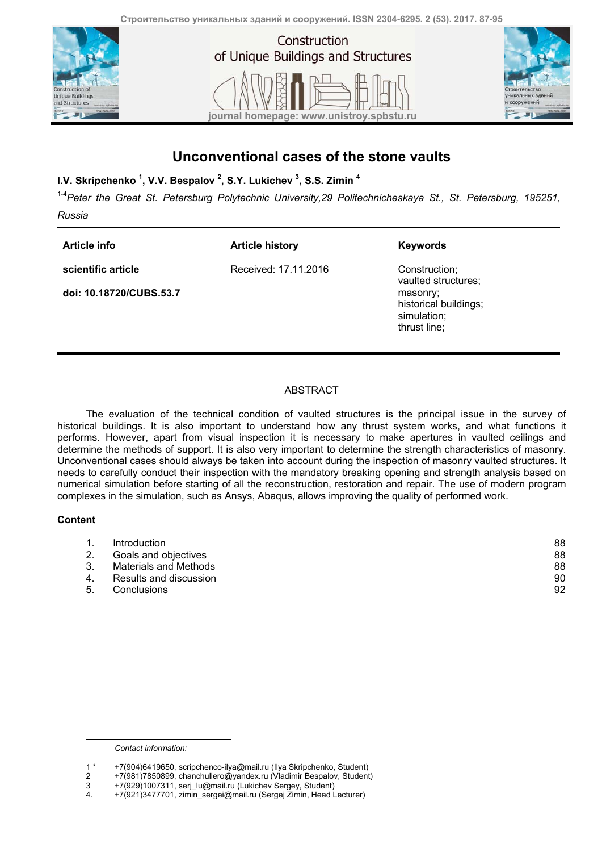of Unique Buildings and Structures





## **Unconventional cases of the stone vaults**

**journal homepage: www.unistroy.spbstu.ru**

**I.V. Skripchenko 1 , V.V. Bespalov <sup>2</sup> , S.Y. Lukichev <sup>3</sup> , S.S. Zimin 4**

<sup>14</sup> Peter the Great St. Petersburg Polytechnic University, 29 Politechnicheskaya St., St. Petersburg, 195251,

*Russia* 

**Article info scientific article**  **Article history** 

Received: 17.11.2016

**doi: 10.18720/CUBS.53.7**

**Keywords** 

Construction; vaulted structures; masonry; historical buildings; simulation; thrust line;

### ABSTRACT

The evaluation of the technical condition of vaulted structures is the principal issue in the survey of historical buildings. It is also important to understand how any thrust system works, and what functions it performs. However, apart from visual inspection it is necessary to make apertures in vaulted ceilings and determine the methods of support. It is also very important to determine the strength characteristics of masonry. Unconventional cases should always be taken into account during the inspection of masonry vaulted structures. It needs to carefully conduct their inspection with the mandatory breaking opening and strength analysis based on numerical simulation before starting of all the reconstruction, restoration and repair. The use of modern program complexes in the simulation, such as Ansys, Abaqus, allows improving the quality of performed work.

#### **Content**

1

|    | Introduction           | 88 |
|----|------------------------|----|
|    | Goals and objectives   | 88 |
|    | Materials and Methods  | 88 |
|    | Results and discussion | 90 |
| 5. | Conclusions            | 92 |

*Contact information:* 

<sup>1 \* +7(904)6419650,</sup> scripchenco-ilya@mail.ru (Ilya Skripchenko, Student)

<sup>2 +7(981)7850899,</sup> chanchullero@yandex.ru (Vladimir Bespalov, Student)

<sup>3 +7(929)1007311,</sup> serj\_lu@mail.ru (Lukichev Sergey, Student)

<sup>+7(921)3477701,</sup> zimin\_sergei@mail.ru (Sergej Zimin, Head Lecturer)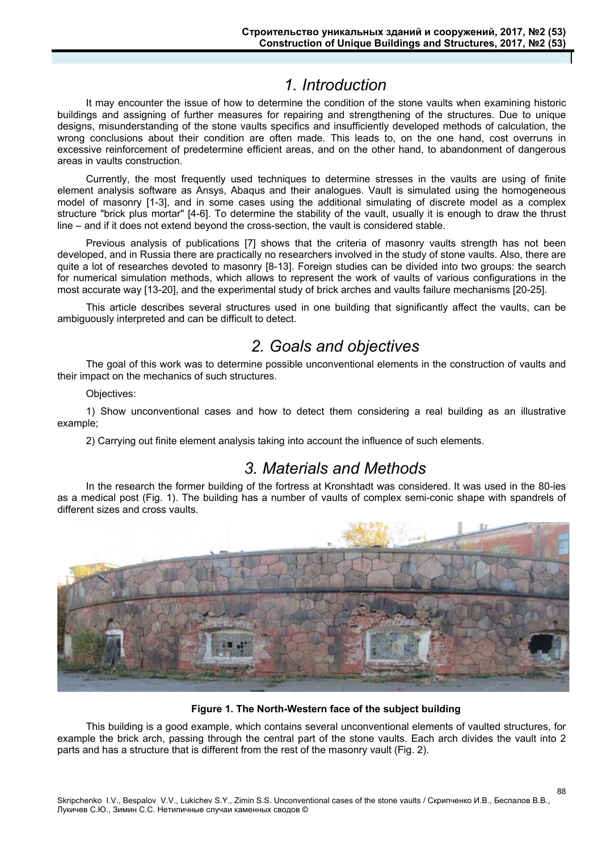# *1. Introduction*

It may encounter the issue of how to determine the condition of the stone vaults when examining historic buildings and assigning of further measures for repairing and strengthening of the structures. Due to unique designs, misunderstanding of the stone vaults specifics and insufficiently developed methods of calculation, the wrong conclusions about their condition are often made. This leads to, on the one hand, cost overruns in excessive reinforcement of predetermine efficient areas, and on the other hand, to abandonment of dangerous areas in vaults construction.

Currently, the most frequently used techniques to determine stresses in the vaults are using of finite element analysis software as Ansys, Abaqus and their analogues. Vault is simulated using the homogeneous model of masonry [1-3], and in some cases using the additional simulating of discrete model as a complex structure "brick plus mortar" [4-6]. To determine the stability of the vault, usually it is enough to draw the thrust line – and if it does not extend beyond the cross-section, the vault is considered stable.

Previous analysis of publications [7] shows that the criteria of masonry vaults strength has not been developed, and in Russia there are practically no researchers involved in the study of stone vaults. Also, there are quite a lot of researches devoted to masonry [8-13]. Foreign studies can be divided into two groups: the search for numerical simulation methods, which allows to represent the work of vaults of various configurations in the most accurate way [13-20], and the experimental study of brick arches and vaults failure mechanisms [20-25].

This article describes several structures used in one building that significantly affect the vaults, can be ambiguously interpreted and can be difficult to detect.

# *2. Goals and objectives*

The goal of this work was to determine possible unconventional elements in the construction of vaults and their impact on the mechanics of such structures.

Objectives:

1) Show unconventional cases and how to detect them considering a real building as an illustrative example;

2) Carrying out finite element analysis taking into account the influence of such elements.

### *3. Materials and Methods*

In the research the former building of the fortress at Kronshtadt was considered. It was used in the 80-ies as a medical post (Fig. 1). The building has a number of vaults of complex semi-conic shape with spandrels of different sizes and cross vaults.



#### **Figure 1. The North-Western face of the subject building**

This building is a good example, which contains several unconventional elements of vaulted structures, for example the brick arch, passing through the central part of the stone vaults. Each arch divides the vault into 2 parts and has a structure that is different from the rest of the masonry vault (Fig. 2).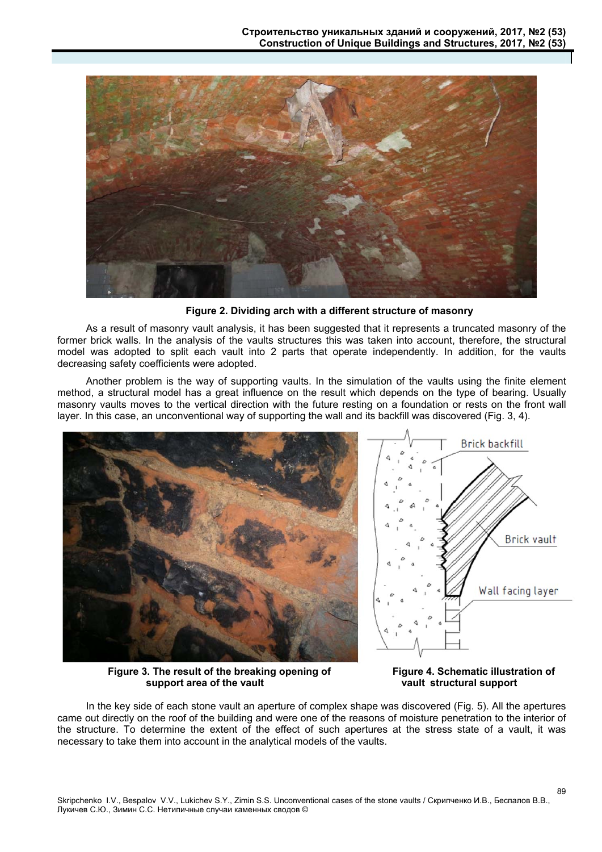

**Figure 2. Dividing arch with a different structure of masonry** 

As a result of masonry vault analysis, it has been suggested that it represents a truncated masonry of the former brick walls. In the analysis of the vaults structures this was taken into account, therefore, the structural model was adopted to split each vault into 2 parts that operate independently. In addition, for the vaults decreasing safety coefficients were adopted.

Another problem is the way of supporting vaults. In the simulation of the vaults using the finite element method, a structural model has a great influence on the result which depends on the type of bearing. Usually masonry vaults moves to the vertical direction with the future resting on a foundation or rests on the front wall layer. In this case, an unconventional way of supporting the wall and its backfill was discovered (Fig. 3, 4).



**Figure 3. The result of the breaking opening of support area of the vault** 

**Figure 4. Schematic illustration of vault structural support** 

89

In the key side of each stone vault an aperture of complex shape was discovered (Fig. 5). All the apertures came out directly on the roof of the building and were one of the reasons of moisture penetration to the interior of the structure. To determine the extent of the effect of such apertures at the stress state of a vault, it was necessary to take them into account in the analytical models of the vaults.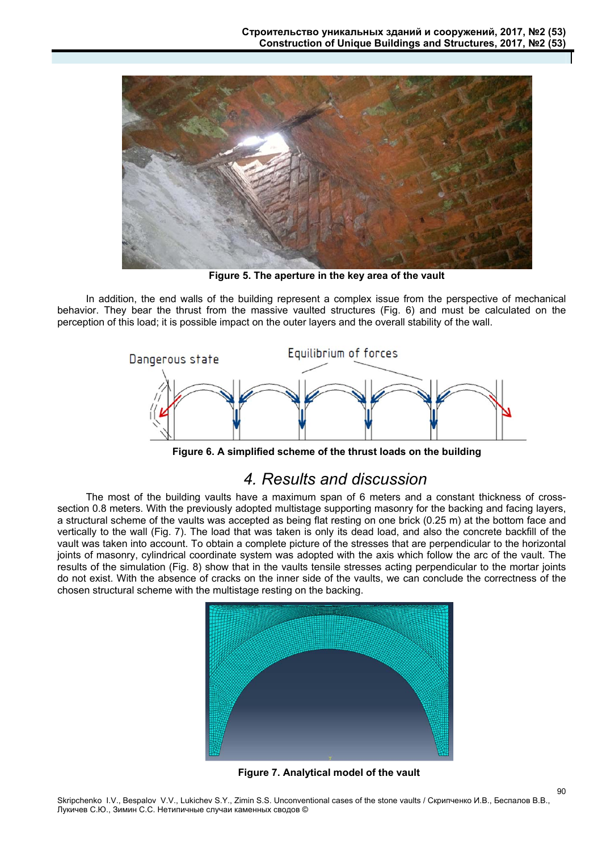

**Figure 5. The aperture in the key area of the vault** 

In addition, the end walls of the building represent a complex issue from the perspective of mechanical behavior. They bear the thrust from the massive vaulted structures (Fig. 6) and must be calculated on the perception of this load; it is possible impact on the outer layers and the overall stability of the wall.



**Figure 6. A simplified scheme of the thrust loads on the building** 

### *4. Results and discussion*

The most of the building vaults have a maximum span of 6 meters and a constant thickness of crosssection 0.8 meters. With the previously adopted multistage supporting masonry for the backing and facing layers, a structural scheme of the vaults was accepted as being flat resting on one brick (0.25 m) at the bottom face and vertically to the wall (Fig. 7). The load that was taken is only its dead load, and also the concrete backfill of the vault was taken into account. To obtain a complete picture of the stresses that are perpendicular to the horizontal joints of masonry, cylindrical coordinate system was adopted with the axis which follow the arc of the vault. The results of the simulation (Fig. 8) show that in the vaults tensile stresses acting perpendicular to the mortar joints do not exist. With the absence of cracks on the inner side of the vaults, we can conclude the correctness of the chosen structural scheme with the multistage resting on the backing.



**Figure 7. Analytical model of the vault** 

90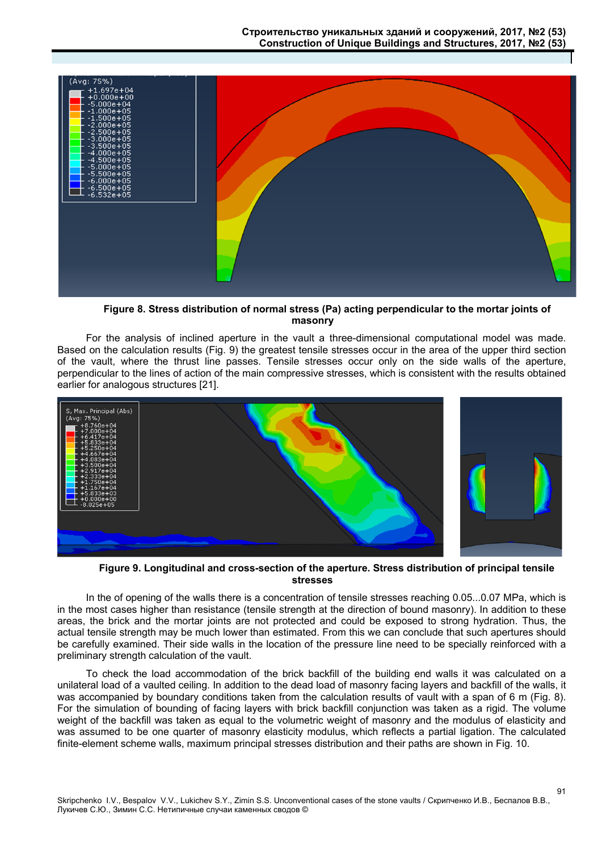

**Figure 8. Stress distribution of normal stress (Pа) acting perpendicular to the mortar joints of masonry** 

For the analysis of inclined aperture in the vault a three-dimensional computational model was made. Based on the calculation results (Fig. 9) the greatest tensile stresses occur in the area of the upper third section of the vault, where the thrust line passes. Tensile stresses occur only on the side walls of the aperture, perpendicular to the lines of action of the main compressive stresses, which is consistent with the results obtained earlier for analogous structures [21].



**Figure 9. Longitudinal and cross-section of the aperture. Stress distribution of principal tensile stresses** 

In the of opening of the walls there is a concentration of tensile stresses reaching 0.05...0.07 MPa, which is in the most cases higher than resistance (tensile strength at the direction of bound masonry). In addition to these areas, the brick and the mortar joints are not protected and could be exposed to strong hydration. Thus, the actual tensile strength may be much lower than estimated. From this we can conclude that such apertures should be carefully examined. Their side walls in the location of the pressure line need to be specially reinforced with a preliminary strength calculation of the vault.

To check the load accommodation of the brick backfill of the building end walls it was calculated on a unilateral load of a vaulted ceiling. In addition to the dead load of masonry facing layers and backfill of the walls, it was accompanied by boundary conditions taken from the calculation results of vault with a span of 6 m (Fig. 8). For the simulation of bounding of facing layers with brick backfill conjunction was taken as a rigid. The volume weight of the backfill was taken as equal to the volumetric weight of masonry and the modulus of elasticity and was assumed to be one quarter of masonry elasticity modulus, which reflects a partial ligation. The calculated finite-element scheme walls, maximum principal stresses distribution and their paths are shown in Fig. 10.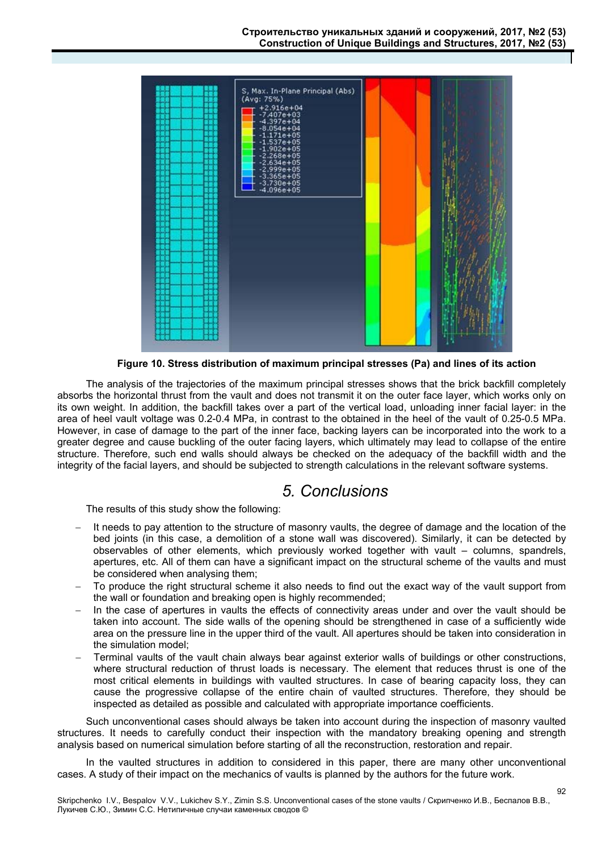

**Figure 10. Stress distribution of maximum principal stresses (Pa) and lines of its action** 

 The analysis of the trajectories of the maximum principal stresses shows that the brick backfill completely absorbs the horizontal thrust from the vault and does not transmit it on the outer face layer, which works only on its own weight. In addition, the backfill takes over a part of the vertical load, unloading inner facial layer: in the area of heel vault voltage was 0.2-0.4 MPa, in contrast to the obtained in the heel of the vault of 0.25-0.5 MPa. However, in case of damage to the part of the inner face, backing layers can be incorporated into the work to a greater degree and cause buckling of the outer facing layers, which ultimately may lead to collapse of the entire structure. Therefore, such end walls should always be checked on the adequacy of the backfill width and the integrity of the facial layers, and should be subjected to strength calculations in the relevant software systems.

### *5. Conclusions*

The results of this study show the following:

- It needs to pay attention to the structure of masonry vaults, the degree of damage and the location of the bed joints (in this case, a demolition of a stone wall was discovered). Similarly, it can be detected by observables of other elements, which previously worked together with vault – columns, spandrels, apertures, etc. All of them can have a significant impact on the structural scheme of the vaults and must be considered when analysing them;
- To produce the right structural scheme it also needs to find out the exact way of the vault support from the wall or foundation and breaking open is highly recommended;
- In the case of apertures in vaults the effects of connectivity areas under and over the vault should be taken into account. The side walls of the opening should be strengthened in case of a sufficiently wide area on the pressure line in the upper third of the vault. All apertures should be taken into consideration in the simulation model;
- Terminal vaults of the vault chain always bear against exterior walls of buildings or other constructions, where structural reduction of thrust loads is necessary. The element that reduces thrust is one of the most critical elements in buildings with vaulted structures. In case of bearing capacity loss, they can cause the progressive collapse of the entire chain of vaulted structures. Therefore, they should be inspected as detailed as possible and calculated with appropriate importance coefficients.

Such unconventional cases should always be taken into account during the inspection of masonry vaulted structures. It needs to carefully conduct their inspection with the mandatory breaking opening and strength analysis based on numerical simulation before starting of all the reconstruction, restoration and repair.

In the vaulted structures in addition to considered in this paper, there are many other unconventional cases. A study of their impact on the mechanics of vaults is planned by the authors for the future work.

92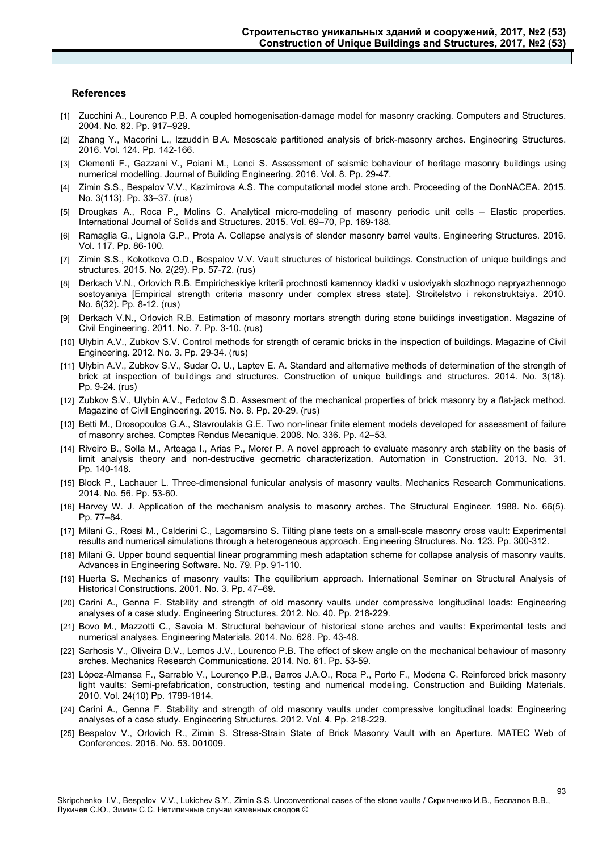#### **References**

- [1] Zucchini A., Lourenco P.B. A coupled homogenisation-damage model for masonry cracking. Computers and Structures. 2004. No. 82. Pp. 917–929.
- [2] Zhang Y., Macorini L., Izzuddin B.A. Mesoscale partitioned analysis of brick-masonry arches. Engineering Structures. 2016. Vol. 124. Pp. 142-166.
- [3] Clementi F., Gazzani V., Poiani M., Lenci S. Assessment of seismic behaviour of heritage masonry buildings using numerical modelling. Journal of Building Engineering. 2016. Vol. 8. Pp. 29-47.
- [4] Zimin S.S., Bespalov V.V., Kazimirova A.S. The computational model stone arch. Proceeding of the DonNACEA. 2015. No. 3(113). Pp. 33–37. (rus)
- [5] Drougkas A., Roca P., Molins C. Analytical micro-modeling of masonry periodic unit cells Elastic properties. International Journal of Solids and Structures. 2015. Vol. 69–70, Pp. 169-188.
- [6] Ramaglia G., Lignola G.P., Prota A. Collapse analysis of slender masonry barrel vaults. Engineering Structures. 2016. Vol. 117. Pp. 86-100.
- [7] Zimin S.S., Kokotkova O.D., Bespalov V.V. Vault structures of historical buildings. Construction of unique buildings and structures. 2015. No. 2(29). Pp. 57-72. (rus)
- [8] Derkach V.N., Orlovich R.B. Empiricheskiye kriterii prochnosti kamennoy kladki v usloviyakh slozhnogo napryazhennogo sostoyaniya [Empirical strength criteria masonry under complex stress state]. Stroitelstvo i rekonstruktsiya. 2010. No. 6(32). Pp. 8-12. (rus)
- [9] Derkach V.N., Orlovich R.B. Estimation of masonry mortars strength during stone buildings investigation. Magazine of Civil Engineering. 2011. No. 7. Pp. 3-10. (rus)
- [10] Ulybin A.V., Zubkov S.V. Control methods for strength of ceramic bricks in the inspection of buildings. Magazine of Civil Engineering. 2012. No. 3. Pp. 29-34. (rus)
- [11] Ulybin A.V., Zubkov S.V., Sudar O. U., Laptev E. A. Standard and alternative methods of determination of the strength of brick at inspection of buildings and structures. Construction of unique buildings and structures. 2014. No. 3(18). Pp. 9-24. (rus)
- [12] Zubkov S.V., Ulybin A.V., Fedotov S.D. Assesment of the mechanical properties of brick masonry by a flat-jack method. Magazine of Civil Engineering. 2015. No. 8. Pp. 20-29. (rus)
- [13] Betti M., Drosopoulos G.A., Stavroulakis G.E. Two non-linear finite element models developed for assessment of failure of masonry arches. Comptes Rendus Mecanique. 2008. No. 336. Pp. 42–53.
- [14] Riveiro B., Solla M., Arteaga I., Arias P., Morer P. A novel approach to evaluate masonry arch stability on the basis of limit analysis theory and non-destructive geometric characterization. Automation in Construction. 2013. No. 31. Pp. 140-148.
- [15] Block P., Lachauer L. Three-dimensional funicular analysis of masonry vaults. Mechanics Research Communications. 2014. No. 56. Pp. 53-60.
- [16] Harvey W. J. Application of the mechanism analysis to masonry arches. The Structural Engineer. 1988. No. 66(5). Pp. 77–84.
- [17] Milani G., Rossi M., Calderini C., Lagomarsino S. Tilting plane tests on a small-scale masonry cross vault: Experimental results and numerical simulations through a heterogeneous approach. Engineering Structures. No. 123. Pp. 300-312.
- [18] Milani G. Upper bound sequential linear programming mesh adaptation scheme for collapse analysis of masonry vaults. Advances in Engineering Software. No. 79. Pp. 91-110.
- [19] Huerta S. Mechanics of masonry vaults: The equilibrium approach. International Seminar on Structural Analysis of Historical Constructions. 2001. No. 3. Pp. 47–69.
- [20] Carini A., Genna F. Stability and strength of old masonry vaults under compressive longitudinal loads: Engineering analyses of a case study. Engineering Structures. 2012. No. 40. Pp. 218-229.
- [21] Bovo M., Mazzotti C., Savoia M. Structural behaviour of historical stone arches and vaults: Experimental tests and numerical analyses. Engineering Materials. 2014. No. 628. Pp. 43-48.
- [22] Sarhosis V., Oliveira D.V., Lemos J.V., Lourenco P.B. The effect of skew angle on the mechanical behaviour of masonry arches. Mechanics Research Communications. 2014. No. 61. Pp. 53-59.
- [23] López-Almansa F., Sarrablo V., Lourenço P.B., Barros J.A.O., Roca P., Porto F., Modena C. Reinforced brick masonry light vaults: Semi-prefabrication, construction, testing and numerical modeling. Construction and Building Materials. 2010. Vol. 24(10) Pp. 1799-1814.
- [24] Carini A., Genna F. Stability and strength of old masonry vaults under compressive longitudinal loads: Engineering analyses of a case study. Engineering Structures. 2012. Vol. 4. Pp. 218-229.
- [25] Bespalov V., Orlovich R., Zimin S. Stress-Strain State of Brick Masonry Vault with an Aperture. MATEC Web of Conferences. 2016. No. 53. 001009.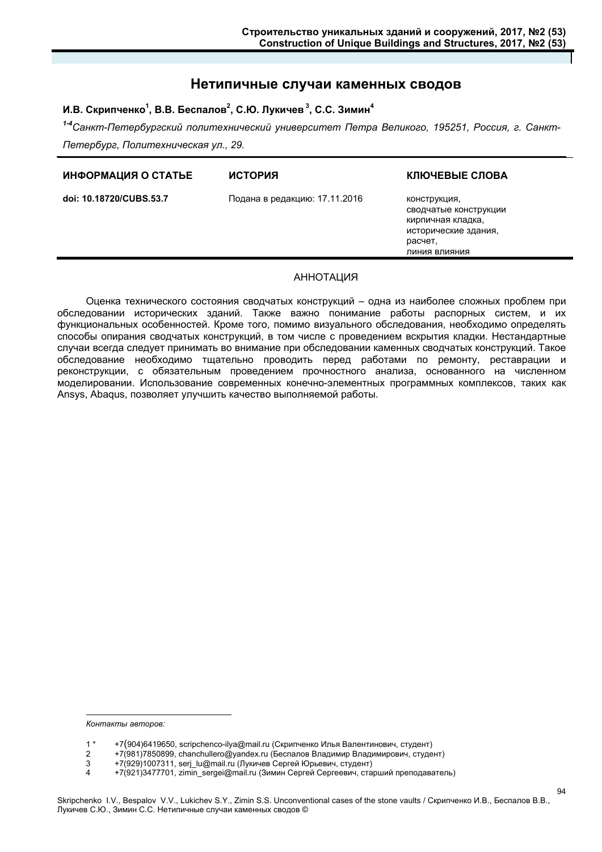### **Нетипичные случаи каменных сводов**

#### И.В. Скрипченко<sup>1</sup>, В.В. Беспалов<sup>2</sup>, С.Ю. Лукичев<sup>3</sup>, С.С. Зимин<sup>4</sup>

*1-4Санкт-Петербургский политехнический университет Петра Великого, 195251, Россия, г. Санкт-Петербург, Политехническая ул., 29.* 

| ИНФОРМАЦИЯ О СТАТЬЕ<br><b>ИСТОРИЯ</b>                    |                                                                                                                |
|----------------------------------------------------------|----------------------------------------------------------------------------------------------------------------|
| doi: 10.18720/CUBS.53.7<br>Подана в редакцию: 17.11.2016 | конструкция,<br>сводчатые конструкции<br>кирпичная кладка,<br>исторические здания,<br>расчет,<br>пиния влияния |

#### АННОТАЦИЯ

Оценка технического состояния сводчатых конструкций – одна из наиболее сложных проблем при обследовании исторических зданий. Также важно понимание работы распорных систем, и их функциональных особенностей. Кроме того, помимо визуального обследования, необходимо определять способы опирания сводчатых конструкций, в том числе с проведением вскрытия кладки. Нестандартные случаи всегда следует принимать во внимание при обследовании каменных сводчатых конструкций. Такое обследование необходимо тщательно проводить перед работами по ремонту, реставрации и реконструкции, с обязательным проведением прочностного анализа, основанного на численном моделировании. Использование современных конечно-элементных программных комплексов, таких как Ansys, Abaqus, позволяет улучшить качество выполняемой работы.

*Контакты авторов:* 

-

<sup>1 \* +7(904)6419650,</sup> scripchenco-ilya@mail.ru (Скрипченко Илья Валентинович, студент)

<sup>2 +7(981)7850899,</sup> chanchullero@yandex.ru (Беспалов Владимир Владимирович, студент)

<sup>3 +7(929)1007311,</sup> serj\_lu@mail.ru (Лукичев Сергей Юрьевич, студент)<br>4 +7(921)3477701. zimin sergei@mail.ru (Зимин Сергей Сергеевич. ста

<sup>+7(921)3477701,</sup> zimin\_sergei@mail.ru (Зимин Сергей Сергеевич, старший преподаватель)